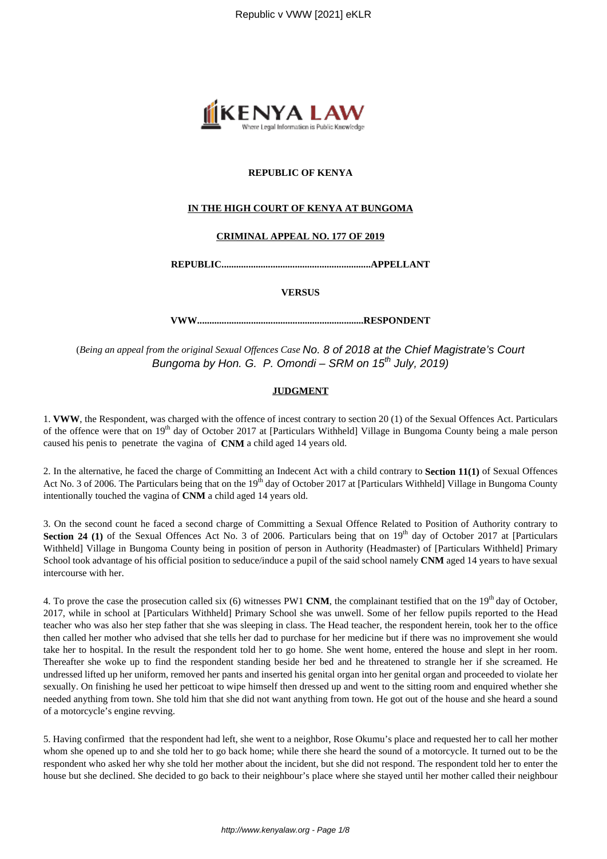

## **REPUBLIC OF KENYA**

## **IN THE HIGH COURT OF KENYA AT BUNGOMA**

#### **CRIMINAL APPEAL NO. 177 OF 2019**

**REPUBLIC.............................................................APPELLANT**

**VERSUS**

**VWW....................................................................RESPONDENT**

(*Being an appeal from the original Sexual Offences Case* No. 8 of 2018 at the Chief Magistrate's Court Bungoma by Hon. G. P. Omondi – SRM on  $15<sup>th</sup>$  July, 2019)

## **JUDGMENT**

1. **VWW**, the Respondent, was charged with the offence of incest contrary to section 20 (1) of the Sexual Offences Act. Particulars of the offence were that on  $19<sup>th</sup>$  day of October 2017 at [Particulars Withheld] Village in Bungoma County being a male person caused his penis to penetrate the vagina of **CNM** a child aged 14 years old.

2. In the alternative, he faced the charge of Committing an Indecent Act with a child contrary to **Section 11(1)** of Sexual Offences Act No. 3 of 2006. The Particulars being that on the  $19<sup>th</sup>$  day of October 2017 at [Particulars Withheld] Village in Bungoma County intentionally touched the vagina of **CNM** a child aged 14 years old.

3. On the second count he faced a second charge of Committing a Sexual Offence Related to Position of Authority contrary to **Section 24 (1)** of the Sexual Offences Act No. 3 of 2006. Particulars being that on  $19<sup>th</sup>$  day of October 2017 at [Particulars Withheld] Village in Bungoma County being in position of person in Authority (Headmaster) of [Particulars Withheld] Primary School took advantage of his official position to seduce/induce a pupil of the said school namely **CNM** aged 14 years to have sexual intercourse with her.

4. To prove the case the prosecution called six (6) witnesses PW1 CNM, the complainant testified that on the 19<sup>th</sup> day of October, 2017, while in school at [Particulars Withheld] Primary School she was unwell. Some of her fellow pupils reported to the Head teacher who was also her step father that she was sleeping in class. The Head teacher, the respondent herein, took her to the office then called her mother who advised that she tells her dad to purchase for her medicine but if there was no improvement she would take her to hospital. In the result the respondent told her to go home. She went home, entered the house and slept in her room. Thereafter she woke up to find the respondent standing beside her bed and he threatened to strangle her if she screamed. He undressed lifted up her uniform, removed her pants and inserted his genital organ into her genital organ and proceeded to violate her sexually. On finishing he used her petticoat to wipe himself then dressed up and went to the sitting room and enquired whether she needed anything from town. She told him that she did not want anything from town. He got out of the house and she heard a sound of a motorcycle's engine revving.

5. Having confirmed that the respondent had left, she went to a neighbor, Rose Okumu's place and requested her to call her mother whom she opened up to and she told her to go back home; while there she heard the sound of a motorcycle. It turned out to be the respondent who asked her why she told her mother about the incident, but she did not respond. The respondent told her to enter the house but she declined. She decided to go back to their neighbour's place where she stayed until her mother called their neighbour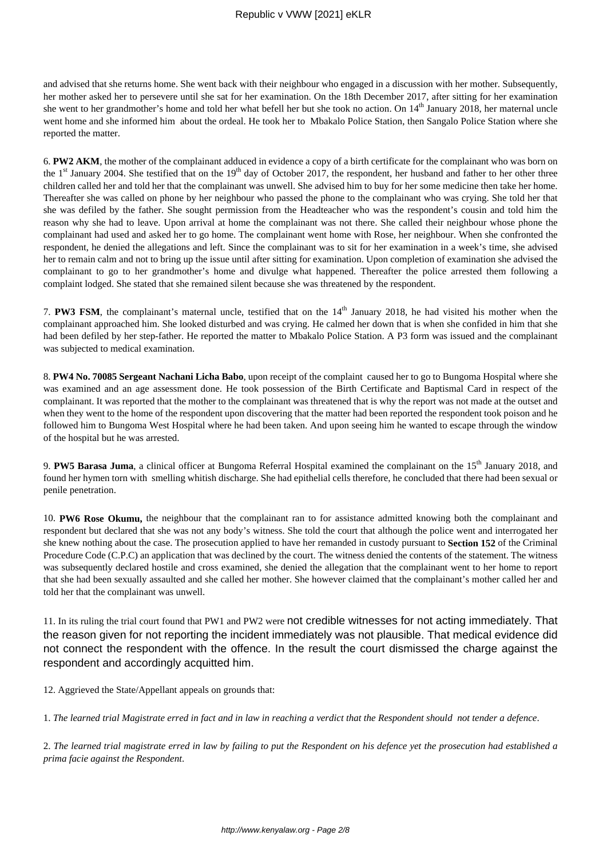## Republic v VWW [2021] eKLR

and advised that she returns home. She went back with their neighbour who engaged in a discussion with her mother. Subsequently, her mother asked her to persevere until she sat for her examination. On the 18th December 2017, after sitting for her examination she went to her grandmother's home and told her what befell her but she took no action. On  $14<sup>th</sup>$  January 2018, her maternal uncle went home and she informed him about the ordeal. He took her to Mbakalo Police Station, then Sangalo Police Station where she reported the matter.

6. **PW2 AKM**, the mother of the complainant adduced in evidence a copy of a birth certificate for the complainant who was born on the  $1<sup>st</sup>$  January 2004. She testified that on the  $19<sup>th</sup>$  day of October 2017, the respondent, her husband and father to her other three children called her and told her that the complainant was unwell. She advised him to buy for her some medicine then take her home. Thereafter she was called on phone by her neighbour who passed the phone to the complainant who was crying. She told her that she was defiled by the father. She sought permission from the Headteacher who was the respondent's cousin and told him the reason why she had to leave. Upon arrival at home the complainant was not there. She called their neighbour whose phone the complainant had used and asked her to go home. The complainant went home with Rose, her neighbour. When she confronted the respondent, he denied the allegations and left. Since the complainant was to sit for her examination in a week's time, she advised her to remain calm and not to bring up the issue until after sitting for examination. Upon completion of examination she advised the complainant to go to her grandmother's home and divulge what happened. Thereafter the police arrested them following a complaint lodged. She stated that she remained silent because she was threatened by the respondent.

7. **PW3 FSM**, the complainant's maternal uncle, testified that on the 14<sup>th</sup> January 2018, he had visited his mother when the complainant approached him. She looked disturbed and was crying. He calmed her down that is when she confided in him that she had been defiled by her step-father. He reported the matter to Mbakalo Police Station. A P3 form was issued and the complainant was subjected to medical examination.

8. **PW4 No. 70085 Sergeant Nachani Licha Babo**, upon receipt of the complaint caused her to go to Bungoma Hospital where she was examined and an age assessment done. He took possession of the Birth Certificate and Baptismal Card in respect of the complainant. It was reported that the mother to the complainant was threatened that is why the report was not made at the outset and when they went to the home of the respondent upon discovering that the matter had been reported the respondent took poison and he followed him to Bungoma West Hospital where he had been taken. And upon seeing him he wanted to escape through the window of the hospital but he was arrested.

9. **PW5 Barasa Juma**, a clinical officer at Bungoma Referral Hospital examined the complainant on the 15<sup>th</sup> January 2018, and found her hymen torn with smelling whitish discharge. She had epithelial cells therefore, he concluded that there had been sexual or penile penetration.

10. **PW6 Rose Okumu,** the neighbour that the complainant ran to for assistance admitted knowing both the complainant and respondent but declared that she was not any body's witness. She told the court that although the police went and interrogated her she knew nothing about the case. The prosecution applied to have her remanded in custody pursuant to **Section 152** of the Criminal Procedure Code (C.P.C) an application that was declined by the court. The witness denied the contents of the statement. The witness was subsequently declared hostile and cross examined, she denied the allegation that the complainant went to her home to report that she had been sexually assaulted and she called her mother. She however claimed that the complainant's mother called her and told her that the complainant was unwell.

11. In its ruling the trial court found that PW1 and PW2 were not credible witnesses for not acting immediately. That the reason given for not reporting the incident immediately was not plausible. That medical evidence did not connect the respondent with the offence. In the result the court dismissed the charge against the respondent and accordingly acquitted him.

12. Aggrieved the State/Appellant appeals on grounds that:

1. *The learned trial Magistrate erred in fact and in law in reaching a verdict that the Respondent should not tender a defence*.

2. *The learned trial magistrate erred in law by failing to put the Respondent on his defence yet the prosecution had established a prima facie against the Respondent*.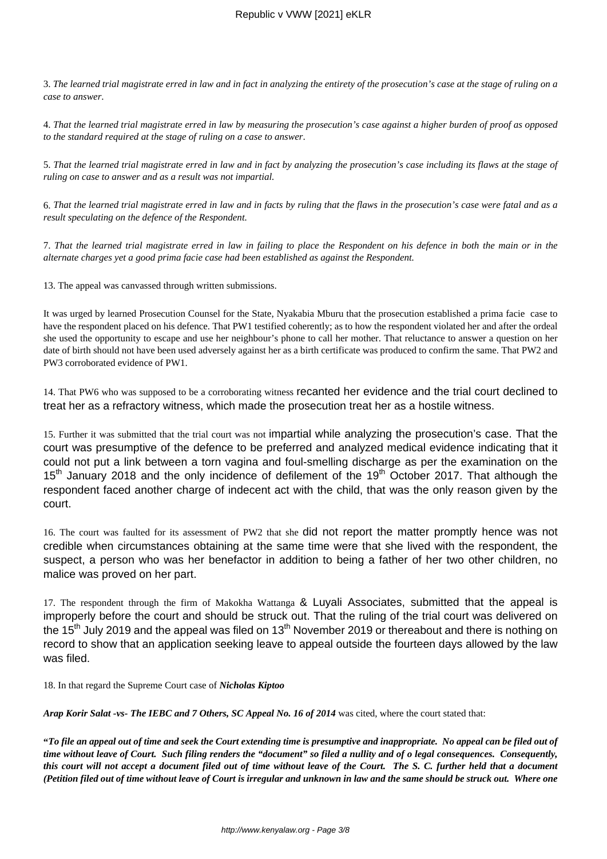3. *The learned trial magistrate erred in law and in fact in analyzing the entirety of the prosecution's case at the stage of ruling on a case to answer*.

4. *That the learned trial magistrate erred in law by measuring the prosecution's case against a higher burden of proof as opposed to the standard required at the stage of ruling on a case to answer*.

5. *That the learned trial magistrate erred in law and in fact by analyzing the prosecution's case including its flaws at the stage of ruling on case to answer and as a result was not impartial.* 

6. *That the learned trial magistrate erred in law and in facts by ruling that the flaws in the prosecution's case were fatal and as a result speculating on the defence of the Respondent.* 

7. *That the learned trial magistrate erred in law in failing to place the Respondent on his defence in both the main or in the alternate charges yet a good prima facie case had been established as against the Respondent.*

13. The appeal was canvassed through written submissions.

It was urged by learned Prosecution Counsel for the State, Nyakabia Mburu that the prosecution established a prima facie case to have the respondent placed on his defence. That PW1 testified coherently; as to how the respondent violated her and after the ordeal she used the opportunity to escape and use her neighbour's phone to call her mother. That reluctance to answer a question on her date of birth should not have been used adversely against her as a birth certificate was produced to confirm the same. That PW2 and PW3 corroborated evidence of PW1.

14. That PW6 who was supposed to be a corroborating witness recanted her evidence and the trial court declined to treat her as a refractory witness, which made the prosecution treat her as a hostile witness.

15. Further it was submitted that the trial court was not impartial while analyzing the prosecution's case. That the court was presumptive of the defence to be preferred and analyzed medical evidence indicating that it could not put a link between a torn vagina and foul-smelling discharge as per the examination on the 15<sup>th</sup> January 2018 and the only incidence of defilement of the 19<sup>th</sup> October 2017. That although the respondent faced another charge of indecent act with the child, that was the only reason given by the court.

16. The court was faulted for its assessment of PW2 that she did not report the matter promptly hence was not credible when circumstances obtaining at the same time were that she lived with the respondent, the suspect, a person who was her benefactor in addition to being a father of her two other children, no malice was proved on her part.

17. The respondent through the firm of Makokha Wattanga & Luyali Associates, submitted that the appeal is improperly before the court and should be struck out. That the ruling of the trial court was delivered on the 15<sup>th</sup> July 2019 and the appeal was filed on 13<sup>th</sup> November 2019 or thereabout and there is nothing on record to show that an application seeking leave to appeal outside the fourteen days allowed by the law was filed.

18. In that regard the Supreme Court case of *Nicholas Kiptoo* 

*Arap Korir Salat -vs- The IEBC and 7 Others, SC Appeal No. 16 of 2014* was cited, where the court stated that:

**"***To file an appeal out of time and seek the Court extending time is presumptive and inappropriate. No appeal can be filed out of time without leave of Court. Such filing renders the "document" so filed a nullity and of o legal consequences. Consequently, this court will not accept a document filed out of time without leave of the Court. The S. C. further held that a document (Petition filed out of time without leave of Court is irregular and unknown in law and the same should be struck out. Where one*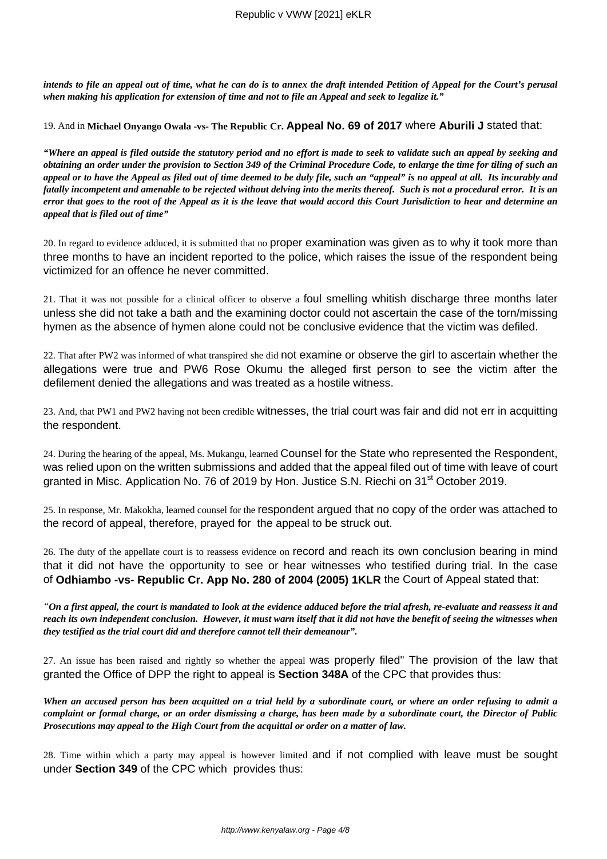*intends to file an appeal out of time, what he can do is to annex the draft intended Petition of Appeal for the Court's perusal when making his application for extension of time and not to file an Appeal and seek to legalize it."* 

19. And in **Michael Onyango Owala -vs- The Republic Cr. Appeal No. 69 of 2017** where **Aburili J** stated that:

*"Where an appeal is filed outside the statutory period and no effort is made to seek to validate such an appeal by seeking and obtaining an order under the provision to Section 349 of the Criminal Procedure Code, to enlarge the time for tiling of such an appeal or to have the Appeal as filed out of time deemed to be duly file, such an "appeal" is no appeal at all. Its incurably and fatally incompetent and amenable to be rejected without delving into the merits thereof. Such is not a procedural error. It is an error that goes to the root of the Appeal as it is the leave that would accord this Court Jurisdiction to hear and determine an appeal that is filed out of time"*

20. In regard to evidence adduced, it is submitted that no proper examination was given as to why it took more than three months to have an incident reported to the police, which raises the issue of the respondent being victimized for an offence he never committed.

21. That it was not possible for a clinical officer to observe a foul smelling whitish discharge three months later unless she did not take a bath and the examining doctor could not ascertain the case of the torn/missing hymen as the absence of hymen alone could not be conclusive evidence that the victim was defiled.

22. That after PW2 was informed of what transpired she did not examine or observe the girl to ascertain whether the allegations were true and PW6 Rose Okumu the alleged first person to see the victim after the defilement denied the allegations and was treated as a hostile witness.

23. And, that PW1 and PW2 having not been credible witnesses, the trial court was fair and did not err in acquitting the respondent.

24. During the hearing of the appeal, Ms. Mukangu, learned Counsel for the State who represented the Respondent, was relied upon on the written submissions and added that the appeal filed out of time with leave of court granted in Misc. Application No. 76 of 2019 by Hon. Justice S.N. Riechi on 31<sup>st</sup> October 2019.

25. In response, Mr. Makokha, learned counsel for the respondent argued that no copy of the order was attached to the record of appeal, therefore, prayed for the appeal to be struck out.

26. The duty of the appellate court is to reassess evidence on record and reach its own conclusion bearing in mind that it did not have the opportunity to see or hear witnesses who testified during trial. In the case of **Odhiambo -vs- Republic Cr. App No. 280 of 2004 (2005) 1KLR** the Court of Appeal stated that:

*"On a first appeal, the court is mandated to look at the evidence adduced before the trial afresh, re-evaluate and reassess it and reach its own independent conclusion. However, it must warn itself that it did not have the benefit of seeing the witnesses when they testified as the trial court did and therefore cannot tell their demeanour".*

27. An issue has been raised and rightly so whether the appeal was properly filed" The provision of the law that granted the Office of DPP the right to appeal is **Section 348A** of the CPC that provides thus:

*When an accused person has been acquitted on a trial held by a subordinate court, or where an order refusing to admit a complaint or formal charge, or an order dismissing a charge, has been made by a subordinate court, the Director of Public Prosecutions may appeal to the High Court from the acquittal or order on a matter of law.* 

28. Time within which a party may appeal is however limited and if not complied with leave must be sought under **Section 349** of the CPC which provides thus: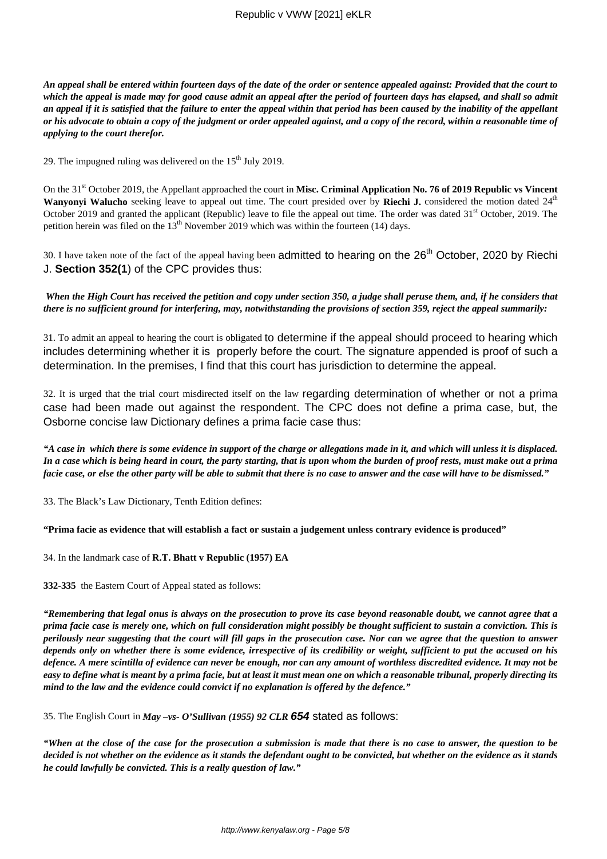*An appeal shall be entered within fourteen days of the date of the order or sentence appealed against: Provided that the court to which the appeal is made may for good cause admit an appeal after the period of fourteen days has elapsed, and shall so admit an appeal if it is satisfied that the failure to enter the appeal within that period has been caused by the inability of the appellant or his advocate to obtain a copy of the judgment or order appealed against, and a copy of the record, within a reasonable time of applying to the court therefor.*

29. The impugned ruling was delivered on the  $15<sup>th</sup>$  July 2019.

On the 31<sup>st</sup> October 2019, the Appellant approached the court in Misc. Criminal Application No. 76 of 2019 Republic vs Vincent **Wanyonyi Walucho** seeking leave to appeal out time. The court presided over by **Riechi J.** considered the motion dated 24<sup>th</sup> October 2019 and granted the applicant (Republic) leave to file the appeal out time. The order was dated  $31<sup>st</sup>$  October, 2019. The petition herein was filed on the  $13<sup>th</sup>$  November 2019 which was within the fourteen (14) days.

30. I have taken note of the fact of the appeal having been admitted to hearing on the  $26<sup>th</sup>$  October, 2020 by Riechi J. **Section 352(1**) of the CPC provides thus:

*When the High Court has received the petition and copy under section 350, a judge shall peruse them, and, if he considers that there is no sufficient ground for interfering, may, notwithstanding the provisions of section 359, reject the appeal summarily:*

31. To admit an appeal to hearing the court is obligated to determine if the appeal should proceed to hearing which includes determining whether it is properly before the court. The signature appended is proof of such a determination. In the premises, I find that this court has jurisdiction to determine the appeal.

32. It is urged that the trial court misdirected itself on the law regarding determination of whether or not a prima case had been made out against the respondent. The CPC does not define a prima case, but, the Osborne concise law Dictionary defines a prima facie case thus:

*"A case in which there is some evidence in support of the charge or allegations made in it, and which will unless it is displaced. In a case which is being heard in court, the party starting, that is upon whom the burden of proof rests, must make out a prima facie case, or else the other party will be able to submit that there is no case to answer and the case will have to be dismissed."*

33. The Black's Law Dictionary, Tenth Edition defines:

**"Prima facie as evidence that will establish a fact or sustain a judgement unless contrary evidence is produced"**

34. In the landmark case of **R.T. Bhatt v Republic (1957) EA** 

**332-335** the Eastern Court of Appeal stated as follows:

*"Remembering that legal onus is always on the prosecution to prove its case beyond reasonable doubt, we cannot agree that a prima facie case is merely one, which on full consideration might possibly be thought sufficient to sustain a conviction. This is perilously near suggesting that the court will fill gaps in the prosecution case. Nor can we agree that the question to answer depends only on whether there is some evidence, irrespective of its credibility or weight, sufficient to put the accused on his defence. A mere scintilla of evidence can never be enough, nor can any amount of worthless discredited evidence. It may not be easy to define what is meant by a prima facie, but at least it must mean one on which a reasonable tribunal, properly directing its mind to the law and the evidence could convict if no explanation is offered by the defence."*

35. The English Court in *May –vs- O'Sullivan (1955) 92 CLR* **654** stated as follows:

*"When at the close of the case for the prosecution a submission is made that there is no case to answer, the question to be decided is not whether on the evidence as it stands the defendant ought to be convicted, but whether on the evidence as it stands he could lawfully be convicted. This is a really question of law."*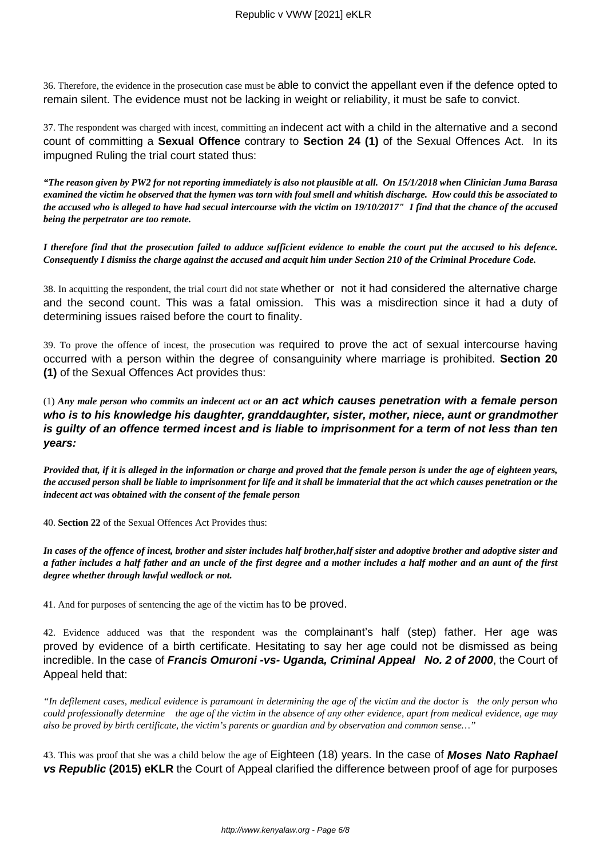36. Therefore, the evidence in the prosecution case must be able to convict the appellant even if the defence opted to remain silent. The evidence must not be lacking in weight or reliability, it must be safe to convict.

37. The respondent was charged with incest, committing an indecent act with a child in the alternative and a second count of committing a **Sexual Offence** contrary to **Section 24 (1)** of the Sexual Offences Act. In its impugned Ruling the trial court stated thus:

*"The reason given by PW2 for not reporting immediately is also not plausible at all. On 15/1/2018 when Clinician Juma Barasa examined the victim he observed that the hymen was torn with foul smell and whitish discharge. How could this be associated to the accused who is alleged to have had secual intercourse with the victim on 19/10/2017" I find that the chance of the accused being the perpetrator are too remote.*

*I therefore find that the prosecution failed to adduce sufficient evidence to enable the court put the accused to his defence. Consequently I dismiss the charge against the accused and acquit him under Section 210 of the Criminal Procedure Code.*

38. In acquitting the respondent, the trial court did not state whether or not it had considered the alternative charge and the second count. This was a fatal omission. This was a misdirection since it had a duty of determining issues raised before the court to finality.

39. To prove the offence of incest, the prosecution was required to prove the act of sexual intercourse having occurred with a person within the degree of consanguinity where marriage is prohibited. **Section 20 (1)** of the Sexual Offences Act provides thus:

(1) *Any male person who commits an indecent act or* **an act which causes penetration with a female person who is to his knowledge his daughter, granddaughter, sister, mother, niece, aunt or grandmother is guilty of an offence termed incest and is liable to imprisonment for a term of not less than ten years:**

*Provided that, if it is alleged in the information or charge and proved that the female person is under the age of eighteen years, the accused person shall be liable to imprisonment for life and it shall be immaterial that the act which causes penetration or the indecent act was obtained with the consent of the female person*

40. **Section 22** of the Sexual Offences Act Provides thus:

*In cases of the offence of incest, brother and sister includes half brother,half sister and adoptive brother and adoptive sister and a father includes a half father and an uncle of the first degree and a mother includes a half mother and an aunt of the first degree whether through lawful wedlock or not.*

41. And for purposes of sentencing the age of the victim has to be proved.

42. Evidence adduced was that the respondent was the complainant's half (step) father. Her age was proved by evidence of a birth certificate. Hesitating to say her age could not be dismissed as being incredible. In the case of **Francis Omuroni -vs- Uganda, Criminal Appeal No. 2 of 2000**, the Court of Appeal held that:

*"In defilement cases, medical evidence is paramount in determining the age of the victim and the doctor is the only person who could professionally determine the age of the victim in the absence of any other evidence, apart from medical evidence, age may also be proved by birth certificate, the victim's parents or guardian and by observation and common sense…"*

43. This was proof that she was a child below the age of Eighteen (18) years. In the case of **Moses Nato Raphael vs Republic (2015) eKLR** the Court of Appeal clarified the difference between proof of age for purposes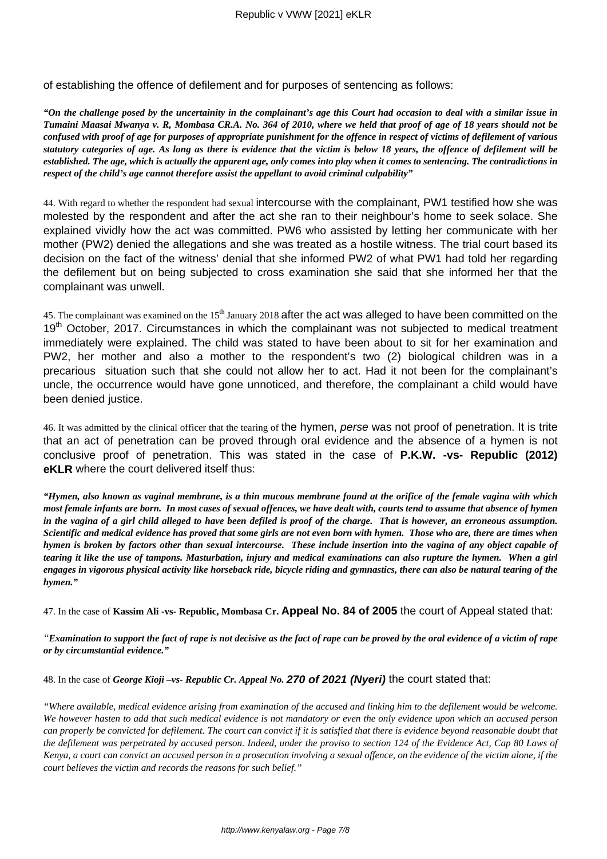of establishing the offence of defilement and for purposes of sentencing as follows:

*"On the challenge posed by the uncertainity in the complainant's age this Court had occasion to deal with a similar issue in Tumaini Maasai Mwanya v. R, Mombasa CR.A. No. 364 of 2010, where we held that proof of age of 18 years should not be confused with proof of age for purposes of appropriate punishment for the offence in respect of victims of defilement of various statutory categories of age. As long as there is evidence that the victim is below 18 years, the offence of defilement will be established. The age, which is actually the apparent age, only comes into play when it comes to sentencing. The contradictions in respect of the child's age cannot therefore assist the appellant to avoid criminal culpability"*

44. With regard to whether the respondent had sexual intercourse with the complainant, PW1 testified how she was molested by the respondent and after the act she ran to their neighbour's home to seek solace. She explained vividly how the act was committed. PW6 who assisted by letting her communicate with her mother (PW2) denied the allegations and she was treated as a hostile witness. The trial court based its decision on the fact of the witness' denial that she informed PW2 of what PW1 had told her regarding the defilement but on being subjected to cross examination she said that she informed her that the complainant was unwell.

45. The complainant was examined on the 15<sup>th</sup> January 2018 after the act was alleged to have been committed on the 19<sup>th</sup> October, 2017. Circumstances in which the complainant was not subjected to medical treatment immediately were explained. The child was stated to have been about to sit for her examination and PW2, her mother and also a mother to the respondent's two (2) biological children was in a precarious situation such that she could not allow her to act. Had it not been for the complainant's uncle, the occurrence would have gone unnoticed, and therefore, the complainant a child would have been denied justice.

46. It was admitted by the clinical officer that the tearing of the hymen, perse was not proof of penetration. It is trite that an act of penetration can be proved through oral evidence and the absence of a hymen is not conclusive proof of penetration. This was stated in the case of **P.K.W. -vs- Republic (2012) eKLR** where the court delivered itself thus:

*"Hymen, also known as vaginal membrane, is a thin mucous membrane found at the orifice of the female vagina with which most female infants are born. In most cases of sexual offences, we have dealt with, courts tend to assume that absence of hymen in the vagina of a girl child alleged to have been defiled is proof of the charge. That is however, an erroneous assumption. Scientific and medical evidence has proved that some girls are not even born with hymen. Those who are, there are times when hymen is broken by factors other than sexual intercourse. These include insertion into the vagina of any object capable of tearing it like the use of tampons. Masturbation, injury and medical examinations can also rupture the hymen. When a girl engages in vigorous physical activity like horseback ride, bicycle riding and gymnastics, there can also be natural tearing of the hymen."*

47. In the case of **Kassim Ali -vs- Republic, Mombasa Cr. Appeal No. 84 of 2005** the court of Appeal stated that:

*"Examination to support the fact of rape is not decisive as the fact of rape can be proved by the oral evidence of a victim of rape or by circumstantial evidence."*

48. In the case of *George Kioji –vs- Republic Cr. Appeal No.* **270 of 2021 (Nyeri)** the court stated that:

*"Where available, medical evidence arising from examination of the accused and linking him to the defilement would be welcome. We however hasten to add that such medical evidence is not mandatory or even the only evidence upon which an accused person can properly be convicted for defilement. The court can convict if it is satisfied that there is evidence beyond reasonable doubt that the defilement was perpetrated by accused person. Indeed, under the proviso to section 124 of the Evidence Act, Cap 80 Laws of Kenya, a court can convict an accused person in a prosecution involving a sexual offence, on the evidence of the victim alone, if the court believes the victim and records the reasons for such belief."*